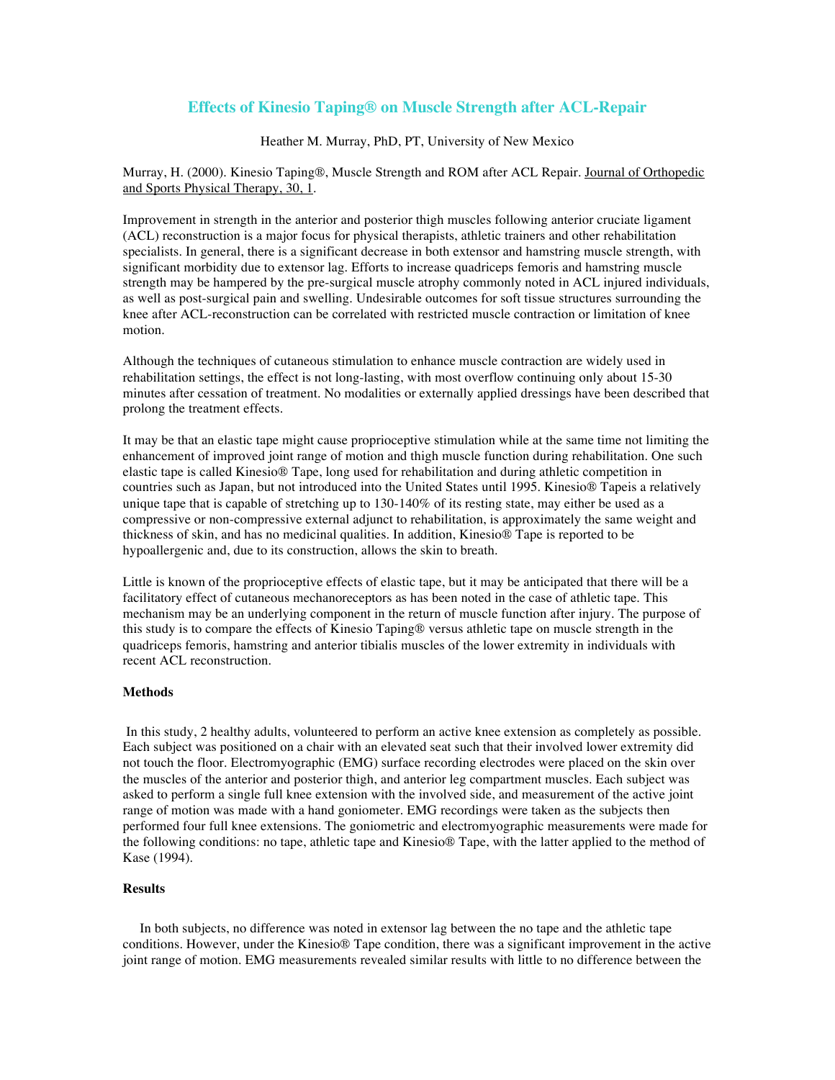# **Effects of Kinesio Taping® on Muscle Strength after ACL-Repair**

## Heather M. Murray, PhD, PT, University of New Mexico

Murray, H. (2000). Kinesio Taping®, Muscle Strength and ROM after ACL Repair. Journal of Orthopedic and Sports Physical Therapy, 30, 1.

Improvement in strength in the anterior and posterior thigh muscles following anterior cruciate ligament (ACL) reconstruction is a major focus for physical therapists, athletic trainers and other rehabilitation specialists. In general, there is a significant decrease in both extensor and hamstring muscle strength, with significant morbidity due to extensor lag. Efforts to increase quadriceps femoris and hamstring muscle strength may be hampered by the pre-surgical muscle atrophy commonly noted in ACL injured individuals, as well as post-surgical pain and swelling. Undesirable outcomes for soft tissue structures surrounding the knee after ACL-reconstruction can be correlated with restricted muscle contraction or limitation of knee motion.

Although the techniques of cutaneous stimulation to enhance muscle contraction are widely used in rehabilitation settings, the effect is not long-lasting, with most overflow continuing only about 15-30 minutes after cessation of treatment. No modalities or externally applied dressings have been described that prolong the treatment effects.

It may be that an elastic tape might cause proprioceptive stimulation while at the same time not limiting the enhancement of improved joint range of motion and thigh muscle function during rehabilitation. One such elastic tape is called Kinesio® Tape, long used for rehabilitation and during athletic competition in countries such as Japan, but not introduced into the United States until 1995. Kinesio® Tapeis a relatively unique tape that is capable of stretching up to 130-140% of its resting state, may either be used as a compressive or non-compressive external adjunct to rehabilitation, is approximately the same weight and thickness of skin, and has no medicinal qualities. In addition, Kinesio® Tape is reported to be hypoallergenic and, due to its construction, allows the skin to breath.

Little is known of the proprioceptive effects of elastic tape, but it may be anticipated that there will be a facilitatory effect of cutaneous mechanoreceptors as has been noted in the case of athletic tape. This mechanism may be an underlying component in the return of muscle function after injury. The purpose of this study is to compare the effects of Kinesio Taping® versus athletic tape on muscle strength in the quadriceps femoris, hamstring and anterior tibialis muscles of the lower extremity in individuals with recent ACL reconstruction.

## **Methods**

In this study, 2 healthy adults, volunteered to perform an active knee extension as completely as possible. Each subject was positioned on a chair with an elevated seat such that their involved lower extremity did not touch the floor. Electromyographic (EMG) surface recording electrodes were placed on the skin over the muscles of the anterior and posterior thigh, and anterior leg compartment muscles. Each subject was asked to perform a single full knee extension with the involved side, and measurement of the active joint range of motion was made with a hand goniometer. EMG recordings were taken as the subjects then performed four full knee extensions. The goniometric and electromyographic measurements were made for the following conditions: no tape, athletic tape and Kinesio® Tape, with the latter applied to the method of Kase (1994).

#### **Results**

 In both subjects, no difference was noted in extensor lag between the no tape and the athletic tape conditions. However, under the Kinesio® Tape condition, there was a significant improvement in the active joint range of motion. EMG measurements revealed similar results with little to no difference between the